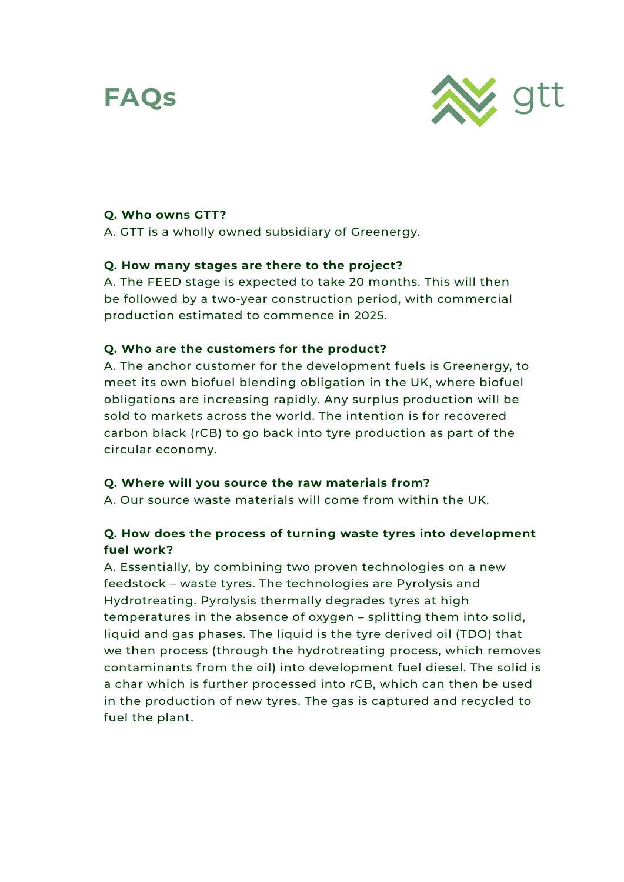# **FAQs**



# **Q. Who owns GTT?**

A. GTT is a wholly owned subsidiary of Greenergy.

### **Q. How many stages are there to the project?**

A. The FEED stage is expected to take 20 months. This will then be followed by a two-year construction period, with commercial production estimated to commence in 2025.

#### **Q. Who are the customers for the product?**

A. The anchor customer for the development fuels is Greenergy, to meet its own biofuel blending obligation in the UK, where biofuel obligations are increasing rapidly. Any surplus production will be sold to markets across the world. The intention is for recovered carbon black (rCB) to go back into tyre production as part of the circular economy.

### **Q. Where will you source the raw materials from?**

A. Our source waste materials will come from within the UK.

# **Q. How does the process of turning waste tyres into development fuel work?**

A. Essentially, by combining two proven technologies on a new feedstock – waste tyres. The technologies are Pyrolysis and Hydrotreating. Pyrolysis thermally degrades tyres at high temperatures in the absence of oxygen – splitting them into solid, liquid and gas phases. The liquid is the tyre derived oil (TDO) that we then process (through the hydrotreating process, which removes contaminants from the oil) into development fuel diesel. The solid is a char which is further processed into rCB, which can then be used in the production of new tyres. The gas is captured and recycled to fuel the plant.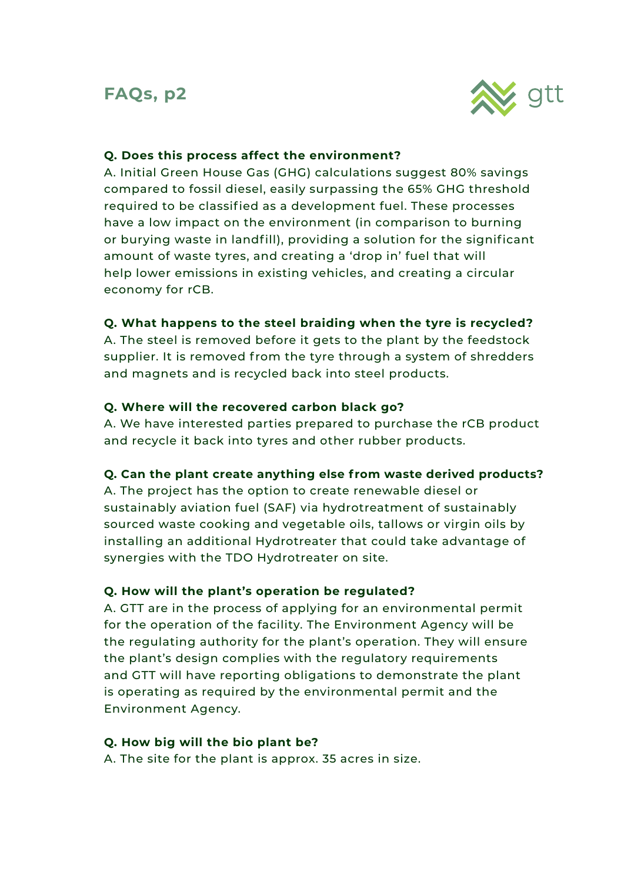# **FAQs, p2**



# **Q. Does this process affect the environment?**

A. Initial Green House Gas (GHG) calculations suggest 80% savings compared to fossil diesel, easily surpassing the 65% GHG threshold required to be classified as a development fuel. These processes have a low impact on the environment (in comparison to burning or burying waste in landfill), providing a solution for the significant amount of waste tyres, and creating a 'drop in' fuel that will help lower emissions in existing vehicles, and creating a circular economy for rCB.

### **Q. What happens to the steel braiding when the tyre is recycled?**

A. The steel is removed before it gets to the plant by the feedstock supplier. It is removed from the tyre through a system of shredders and magnets and is recycled back into steel products.

## **Q. Where will the recovered carbon black go?**

A. We have interested parties prepared to purchase the rCB product and recycle it back into tyres and other rubber products.

### **Q. Can the plant create anything else from waste derived products?**

A. The project has the option to create renewable diesel or sustainably aviation fuel (SAF) via hydrotreatment of sustainably sourced waste cooking and vegetable oils, tallows or virgin oils by installing an additional Hydrotreater that could take advantage of synergies with the TDO Hydrotreater on site.

### **Q. How will the plant's operation be regulated?**

A. GTT are in the process of applying for an environmental permit for the operation of the facility. The Environment Agency will be the regulating authority for the plant's operation. They will ensure the plant's design complies with the regulatory requirements and GTT will have reporting obligations to demonstrate the plant is operating as required by the environmental permit and the Environment Agency.

### **Q. How big will the bio plant be?**

A. The site for the plant is approx. 35 acres in size.